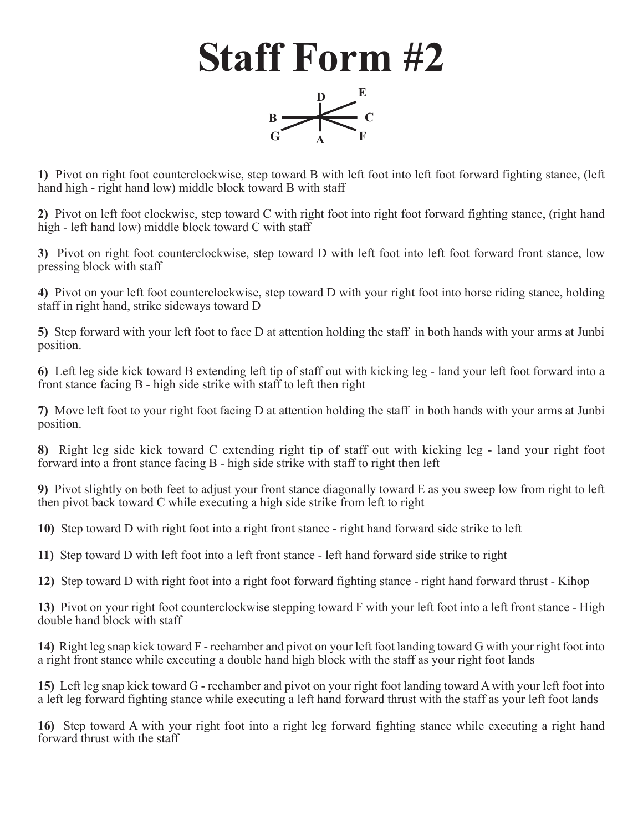## **Staff Form #2**



**1)** Pivot on right foot counterclockwise, step toward B with left foot into left foot forward fighting stance, (left hand high - right hand low) middle block toward B with staff

**2)** Pivot on left foot clockwise, step toward C with right foot into right foot forward fighting stance, (right hand high - left hand low) middle block toward C with staff

**3)** Pivot on right foot counterclockwise, step toward D with left foot into left foot forward front stance, low pressing block with staff

**4)** Pivot on your left foot counterclockwise, step toward D with your right foot into horse riding stance, holding staff in right hand, strike sideways toward D

**5)** Step forward with your left foot to face D at attention holding the staff in both hands with your arms at Junbi position.

**6)** Left leg side kick toward B extending left tip of staff out with kicking leg - land your left foot forward into a front stance facing B - high side strike with staff to left then right

**7)** Move left foot to your right foot facing D at attention holding the staff in both hands with your arms at Junbi position.

**8)** Right leg side kick toward C extending right tip of staff out with kicking leg - land your right foot forward into a front stance facing B - high side strike with staff to right then left

**9)** Pivot slightly on both feet to adjust your front stance diagonally toward E as you sweep low from right to left then pivot back toward C while executing a high side strike from left to right

**10)** Step toward D with right foot into a right front stance - right hand forward side strike to left

**11)** Step toward D with left foot into a left front stance - left hand forward side strike to right

**12)** Step toward D with right foot into a right foot forward fighting stance - right hand forward thrust - Kihop

**13)** Pivot on your right foot counterclockwise stepping toward F with your left foot into a left front stance - High double hand block with staff

**14)** Right leg snap kick toward F - rechamber and pivot on your left foot landing toward G with your right foot into a right front stance while executing a double hand high block with the staff as your right foot lands

**15)** Left leg snap kick toward G - rechamber and pivot on your right foot landing toward A with your left foot into a left leg forward fighting stance while executing a left hand forward thrust with the staff as your left foot lands

**16)** Step toward A with your right foot into a right leg forward fighting stance while executing a right hand forward thrust with the staff